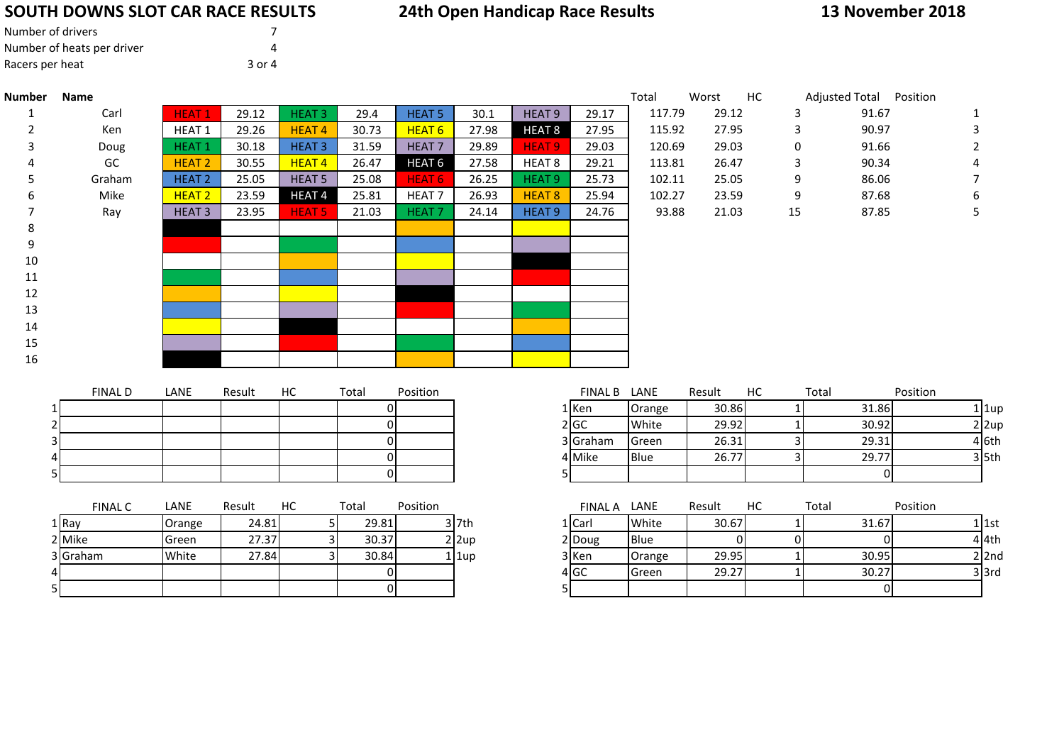### **SOUTH DOWNS SLOT CAR RACE RESULTS**

## **24th Open Handicap Race Results**

**13 November 2018**

| Number of drivers          |        |  |
|----------------------------|--------|--|
| Number of heats per driver | Δ      |  |
| Racers per heat            | 3 or 4 |  |

5

| <b>Number</b> | <b>Name</b>    |                   |        |                   |          |                   |       |                   |                | Total  | Worst  | HC | Adjusted Total Position |          |           |
|---------------|----------------|-------------------|--------|-------------------|----------|-------------------|-------|-------------------|----------------|--------|--------|----|-------------------------|----------|-----------|
|               | Carl           | <b>HEAT1</b>      | 29.12  | HEAT <sub>3</sub> | 29.4     | <b>HEAT 5</b>     | 30.1  | HEAT <sub>9</sub> | 29.17          | 117.79 | 29.12  |    | 3                       | 91.67    |           |
|               | Ken            | HEAT <sub>1</sub> | 29.26  | <b>HEAT4</b>      | 30.73    | HEAT <sub>6</sub> | 27.98 | <b>HEAT 8</b>     | 27.95          | 115.92 | 27.95  |    | 3                       | 90.97    | 3         |
| 3             | Doug           | <b>HEAT1</b>      | 30.18  | HEAT <sub>3</sub> | 31.59    | HEAT <sub>7</sub> | 29.89 | HEAT <sub>9</sub> | 29.03          | 120.69 | 29.03  |    | $\mathbf 0$             | 91.66    | 2         |
|               | GC             | HEAT <sub>2</sub> | 30.55  | <b>HEAT4</b>      | 26.47    | HEAT <sub>6</sub> | 27.58 | HEAT <sub>8</sub> | 29.21          | 113.81 | 26.47  |    | 3                       | 90.34    |           |
| 5             | Graham         | <b>HEAT 2</b>     | 25.05  | <b>HEAT 5</b>     | 25.08    | HEAT <sub>6</sub> | 26.25 | HEAT <sub>9</sub> | 25.73          | 102.11 | 25.05  |    | 9                       | 86.06    |           |
| 6             | Mike           | HEAT <sub>2</sub> | 23.59  | <b>HEAT4</b>      | 25.81    | HEAT <sub>7</sub> | 26.93 | HEAT <sub>8</sub> | 25.94          | 102.27 | 23.59  |    | 9                       | 87.68    | 6         |
|               | Ray            | HEAT <sub>3</sub> | 23.95  | <b>HEAT 5</b>     | 21.03    | HEAT <sub>7</sub> | 24.14 | HEAT <sub>9</sub> | 24.76          | 93.88  | 21.03  |    | 15                      | 87.85    | 5.        |
| 8             |                |                   |        |                   |          |                   |       |                   |                |        |        |    |                         |          |           |
| 9             |                |                   |        |                   |          |                   |       |                   |                |        |        |    |                         |          |           |
| 10            |                |                   |        |                   |          |                   |       |                   |                |        |        |    |                         |          |           |
| 11            |                |                   |        |                   |          |                   |       |                   |                |        |        |    |                         |          |           |
| 12            |                |                   |        |                   |          |                   |       |                   |                |        |        |    |                         |          |           |
| 13            |                |                   |        |                   |          |                   |       |                   |                |        |        |    |                         |          |           |
| 14            |                |                   |        |                   |          |                   |       |                   |                |        |        |    |                         |          |           |
| 15            |                |                   |        |                   |          |                   |       |                   |                |        |        |    |                         |          |           |
| 16            |                |                   |        |                   |          |                   |       |                   |                |        |        |    |                         |          |           |
|               |                |                   |        |                   |          |                   |       |                   |                |        |        |    |                         |          |           |
|               | <b>FINAL D</b> | LANE              | Result | HC                | Total    | Position          |       |                   | <b>FINAL B</b> | LANE   | Result | HC | Total                   | Position |           |
|               |                |                   |        |                   | ΟI       |                   |       |                   | 1 Ken          | Orange | 30.86  |    |                         | 31.86    | $1$   1up |
|               |                |                   |        |                   | 01       |                   |       |                   | 2 GC           | White  | 29.92  |    |                         | 30.92    | $2$  2up  |
|               |                |                   |        |                   | 01       |                   |       |                   | 3 Graham       | Green  | 26.31  |    | 31                      | 29.31    | 4 6th     |
|               |                |                   |        |                   | $\Omega$ |                   |       |                   | 4 Mike         | Blue   | 26.77  |    | 3                       | 29.77    | $3$ 5th   |
|               |                |                   |        |                   |          |                   |       |                   |                |        |        |    |                         |          |           |

<sup>0</sup> <sup>5</sup> <sup>0</sup>

|       | <b>FINAL C</b> | LANE   | Result | НC | Total | Position |           | <b>FINAL A</b> | LANE           | Result | НC | Total |
|-------|----------------|--------|--------|----|-------|----------|-----------|----------------|----------------|--------|----|-------|
| 1 Ray |                | Orange | 24.81  |    | 29.81 |          | 3 l7th    | 1   Carl       | White          | 30.67  |    | 31.67 |
|       | 2 Mike         | Green  | 27.37  |    | 30.37 |          | 2 2up     | 2 Doug         | Blue           |        |    |       |
|       | 3 Graham       | White  | 27.84  |    | 30.84 |          | $1$   1up | 3 Ken          | Orange         | 29.95  |    | 30.95 |
| 41    |                |        |        |    |       |          |           | 4 GC           | <b>I</b> Green | 29.27  |    | 30.27 |
| 51    |                |        |        |    |       |          |           |                |                |        |    |       |

| FINAL C | LANE           | Result | HC | Total | Position |              | <b>FINAL A</b> | LANE        | Result | НC | Total | Position   |
|---------|----------------|--------|----|-------|----------|--------------|----------------|-------------|--------|----|-------|------------|
|         | Orange         | 24.81  |    | 29.81 |          | $3$ 7th      | 1 Carl         | White       | 30.67  |    | 31.67 | $1 1$ st   |
|         | <b>I</b> Green | 27.37  |    | 30.37 |          | $2 \times 2$ | 2 Doug         | <b>Blue</b> |        |    |       | 4 4th      |
| m       | White          | 27.84  |    | 30.84 |          | $1$   1up    | 3 Ken          | Orange      | 29.95  |    | 30.95 | 2l2nd      |
|         |                |        |    |       |          |              | 4 GC           | Green       | 29.27  |    | 30.27 | $3$ $3$ rd |
|         |                |        |    |       |          |              |                |             |        |    |       |            |